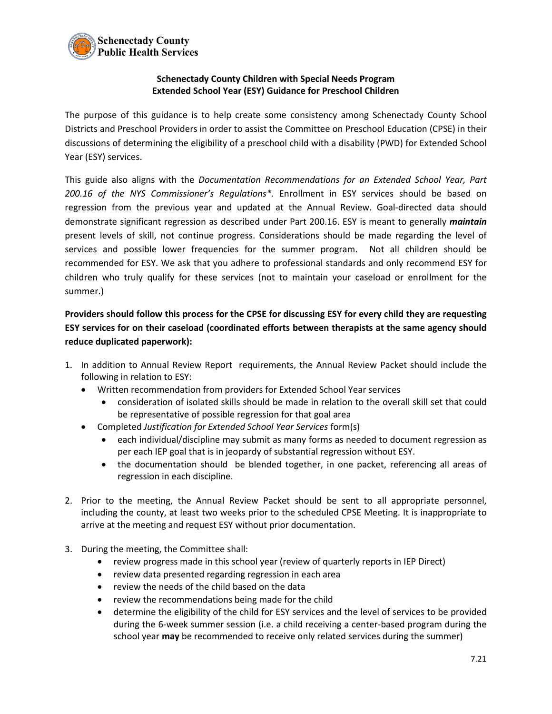

## **Schenectady County Children with Special Needs Program Extended School Year (ESY) Guidance for Preschool Children**

The purpose of this guidance is to help create some consistency among Schenectady County School Districts and Preschool Providers in order to assist the Committee on Preschool Education (CPSE) in their discussions of determining the eligibility of a preschool child with a disability (PWD) for Extended School Year (ESY) services.

This guide also aligns with the *Documentation Recommendations for an Extended School Year, Part 200.16 of the NYS Commissioner's Regulations\*.* Enrollment in ESY services should be based on regression from the previous year and updated at the Annual Review. Goal-directed data should demonstrate significant regression as described under Part 200.16. ESY is meant to generally *maintain* present levels of skill, not continue progress. Considerations should be made regarding the level of services and possible lower frequencies for the summer program. Not all children should be recommended for ESY. We ask that you adhere to professional standards and only recommend ESY for children who truly qualify for these services (not to maintain your caseload or enrollment for the summer.)

**Providers should follow this process for the CPSE for discussing ESY for every child they are requesting ESY services for on their caseload (coordinated efforts between therapists at the same agency should reduce duplicated paperwork):**

- 1. In addition to Annual Review Report requirements, the Annual Review Packet should include the following in relation to ESY:
	- Written recommendation from providers for Extended School Year services
		- consideration of isolated skills should be made in relation to the overall skill set that could be representative of possible regression for that goal area
	- Completed *Justification for Extended School Year Services* form(s)
		- each individual/discipline may submit as many forms as needed to document regression as per each IEP goal that is in jeopardy of substantial regression without ESY.
		- the documentation should be blended together, in one packet, referencing all areas of regression in each discipline.
- 2. Prior to the meeting, the Annual Review Packet should be sent to all appropriate personnel, including the county, at least two weeks prior to the scheduled CPSE Meeting. It is inappropriate to arrive at the meeting and request ESY without prior documentation.
- 3. During the meeting, the Committee shall:
	- review progress made in this school year (review of quarterly reports in IEP Direct)
	- review data presented regarding regression in each area
	- review the needs of the child based on the data
	- review the recommendations being made for the child
	- determine the eligibility of the child for ESY services and the level of services to be provided during the 6-week summer session (i.e. a child receiving a center-based program during the school year **may** be recommended to receive only related services during the summer)